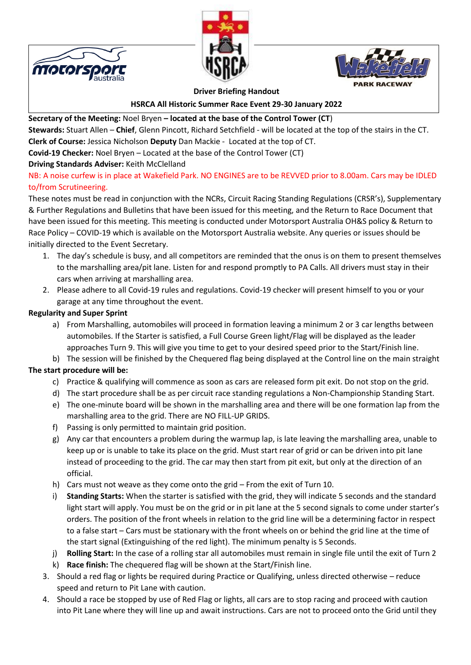





**Driver Briefing Handout**

**HSRCA All Historic Summer Race Event 29-30 January 2022**

# **Secretary of the Meeting:** Noel Bryen **– located at the base of the Control Tower (CT**)

**Stewards:** Stuart Allen – **Chief**, Glenn Pincott, Richard Setchfield - will be located at the top of the stairs in the CT. **Clerk of Course:** Jessica Nicholson **Deputy** Dan Mackie - Located at the top of CT.

**Covid-19 Checker:** Noel Bryen – Located at the base of the Control Tower (CT)

### **Driving Standards Adviser:** Keith McClelland

### NB: A noise curfew is in place at Wakefield Park. NO ENGINES are to be REVVED prior to 8.00am. Cars may be IDLED to/from Scrutineering.

These notes must be read in conjunction with the NCRs, Circuit Racing Standing Regulations (CRSR's), Supplementary & Further Regulations and Bulletins that have been issued for this meeting, and the Return to Race Document that have been issued for this meeting. This meeting is conducted under Motorsport Australia OH&S policy & Return to Race Policy – COVID-19 which is available on the Motorsport Australia website. Any queries or issues should be initially directed to the Event Secretary.

- 1. The day's schedule is busy, and all competitors are reminded that the onus is on them to present themselves to the marshalling area/pit lane. Listen for and respond promptly to PA Calls. All drivers must stay in their cars when arriving at marshalling area.
- 2. Please adhere to all Covid-19 rules and regulations. Covid-19 checker will present himself to you or your garage at any time throughout the event.

### **Regularity and Super Sprint**

- a) From Marshalling, automobiles will proceed in formation leaving a minimum 2 or 3 car lengths between automobiles. If the Starter is satisfied, a Full Course Green light/Flag will be displayed as the leader approaches Turn 9. This will give you time to get to your desired speed prior to the Start/Finish line.
- b) The session will be finished by the Chequered flag being displayed at the Control line on the main straight

## **The start procedure will be:**

- c) Practice & qualifying will commence as soon as cars are released form pit exit. Do not stop on the grid.
- d) The start procedure shall be as per circuit race standing regulations a Non-Championship Standing Start.
- e) The one-minute board will be shown in the marshalling area and there will be one formation lap from the marshalling area to the grid. There are NO FILL-UP GRIDS.
- f) Passing is only permitted to maintain grid position.
- g) Any car that encounters a problem during the warmup lap, is late leaving the marshalling area, unable to keep up or is unable to take its place on the grid. Must start rear of grid or can be driven into pit lane instead of proceeding to the grid. The car may then start from pit exit, but only at the direction of an official.
- h) Cars must not weave as they come onto the grid From the exit of Turn 10.
- i) **Standing Starts:** When the starter is satisfied with the grid, they will indicate 5 seconds and the standard light start will apply. You must be on the grid or in pit lane at the 5 second signals to come under starter's orders. The position of the front wheels in relation to the grid line will be a determining factor in respect to a false start – Cars must be stationary with the front wheels on or behind the grid line at the time of the start signal (Extinguishing of the red light). The minimum penalty is 5 Seconds.
- j) **Rolling Start:** In the case of a rolling star all automobiles must remain in single file until the exit of Turn 2
- k) **Race finish:** The chequered flag will be shown at the Start/Finish line.
- 3. Should a red flag or lights be required during Practice or Qualifying, unless directed otherwise reduce speed and return to Pit Lane with caution.
- 4. Should a race be stopped by use of Red Flag or lights, all cars are to stop racing and proceed with caution into Pit Lane where they will line up and await instructions. Cars are not to proceed onto the Grid until they